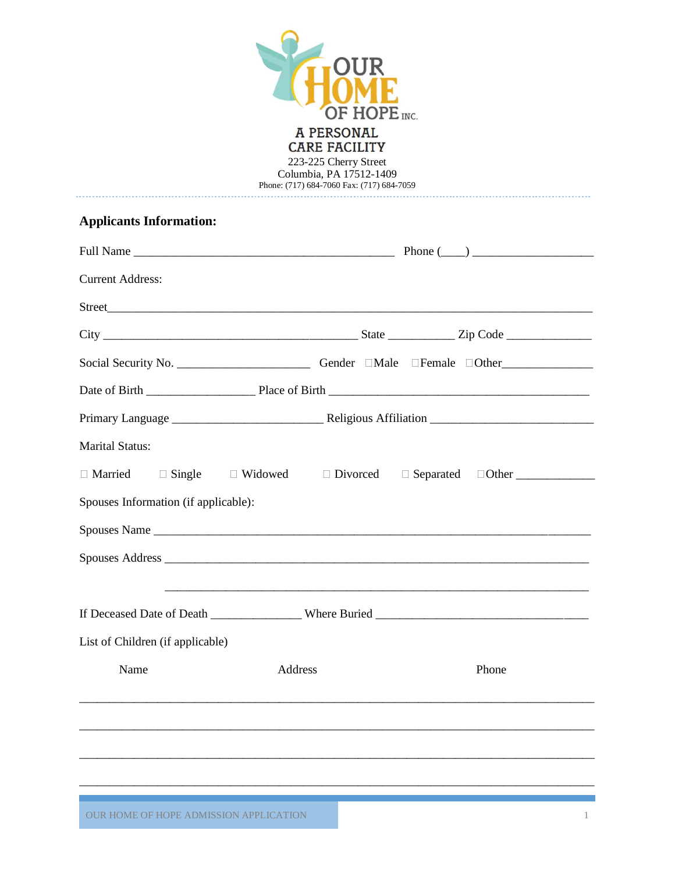

Phone: (717) 684-7060 Fax: (717) 684-7059

## **Applicants Information:**

| <b>Current Address:</b>                                                                             |                                                                                                                       |  |       |
|-----------------------------------------------------------------------------------------------------|-----------------------------------------------------------------------------------------------------------------------|--|-------|
|                                                                                                     |                                                                                                                       |  |       |
|                                                                                                     |                                                                                                                       |  |       |
| Social Security No. ______________________________Gender DMale DFemale DOther______________________ |                                                                                                                       |  |       |
|                                                                                                     |                                                                                                                       |  |       |
|                                                                                                     |                                                                                                                       |  |       |
| <b>Marital Status:</b>                                                                              |                                                                                                                       |  |       |
| $\Box$ Single<br>□ Married                                                                          | $\Box$ Widowed<br>$\Box$ Divorced                                                                                     |  |       |
| Spouses Information (if applicable):                                                                |                                                                                                                       |  |       |
|                                                                                                     |                                                                                                                       |  |       |
|                                                                                                     |                                                                                                                       |  |       |
|                                                                                                     | <u> 1989 - Johann Harry Harry Harry Harry Harry Harry Harry Harry Harry Harry Harry Harry Harry Harry Harry Harry</u> |  |       |
|                                                                                                     |                                                                                                                       |  |       |
| List of Children (if applicable)                                                                    |                                                                                                                       |  |       |
| Name                                                                                                | Address                                                                                                               |  | Phone |
|                                                                                                     |                                                                                                                       |  |       |
|                                                                                                     |                                                                                                                       |  |       |
|                                                                                                     |                                                                                                                       |  |       |
|                                                                                                     |                                                                                                                       |  |       |
|                                                                                                     |                                                                                                                       |  |       |

OUR HOME OF HOPE ADMISSION APPLICATION 1 And the state of the state of the state of the state of the state of the state of the state of the state of the state of the state of the state of the state of the state of the stat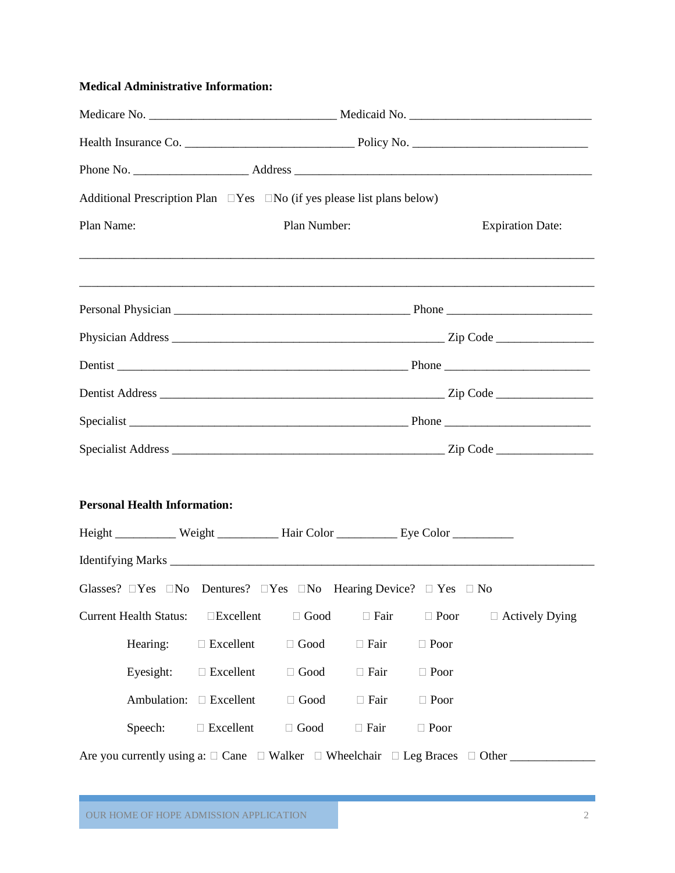### **Medical Administrative Information:**

| Additional Prescription Plan $\Box$ Yes $\Box$ No (if yes please list plans below)                         |                  |              |             |             |                         |
|------------------------------------------------------------------------------------------------------------|------------------|--------------|-------------|-------------|-------------------------|
| Plan Name:                                                                                                 |                  | Plan Number: |             |             | <b>Expiration Date:</b> |
|                                                                                                            |                  |              |             |             |                         |
|                                                                                                            |                  |              |             |             |                         |
|                                                                                                            |                  |              |             |             |                         |
|                                                                                                            |                  |              |             |             |                         |
|                                                                                                            |                  |              |             |             |                         |
|                                                                                                            |                  |              |             |             |                         |
|                                                                                                            |                  |              |             |             |                         |
| <b>Personal Health Information:</b>                                                                        |                  |              |             |             |                         |
| Height _________ Weight _________ Hair Color _________ Eye Color __________                                |                  |              |             |             |                         |
|                                                                                                            |                  |              |             |             |                         |
| Glasses? $\Box$ Yes $\Box$ No Dentures? $\Box$ Yes $\Box$ No Hearing Device? $\Box$ Yes $\Box$ No          |                  |              |             |             |                         |
| <b>Current Health Status:</b>                                                                              | □Excellent       | $\Box$ Good  | $\Box$ Fair | $\Box$ Poor | $\Box$ Actively Dying   |
| Hearing:                                                                                                   | $\Box$ Excellent | $\Box$ Good  | $\Box$ Fair | $\Box$ Poor |                         |
| Eyesight:                                                                                                  | $\Box$ Excellent | $\Box$ Good  | $\Box$ Fair | $\Box$ Poor |                         |
| Ambulation:                                                                                                | $\Box$ Excellent | $\Box$ Good  | $\Box$ Fair | $\Box$ Poor |                         |
| Speech:                                                                                                    | $\Box$ Excellent | $\Box$ Good  | $\Box$ Fair | $\Box$ Poor |                         |
| Are you currently using a: $\Box$ Cane $\Box$ Walker $\Box$ Wheelchair $\Box$ Leg Braces $\Box$ Other ____ |                  |              |             |             |                         |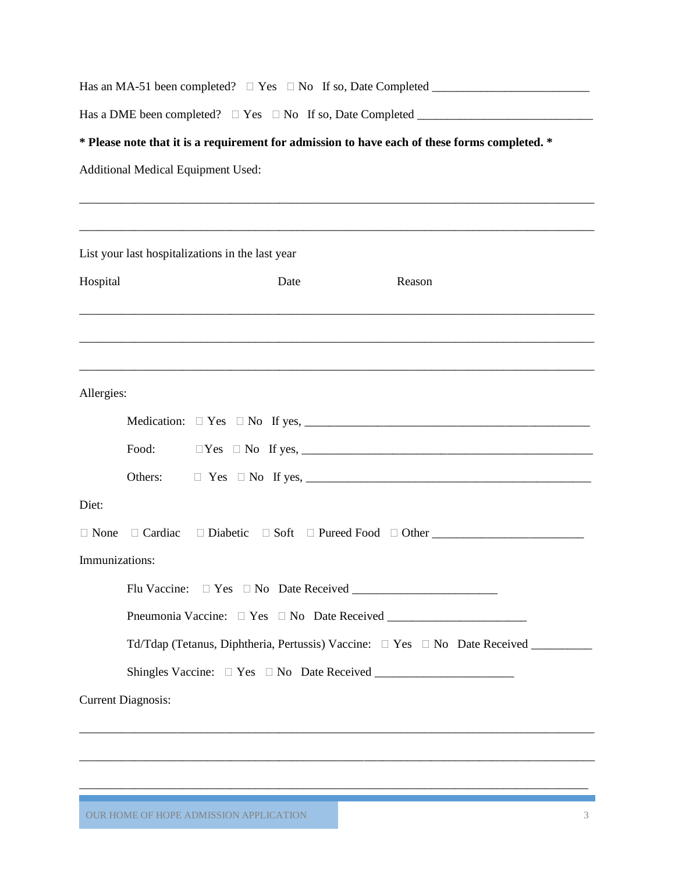| * Please note that it is a requirement for admission to have each of these forms completed. *<br><b>Additional Medical Equipment Used:</b> |                           |                                                  |  |                                                                                      |  |  |  |  |  |
|--------------------------------------------------------------------------------------------------------------------------------------------|---------------------------|--------------------------------------------------|--|--------------------------------------------------------------------------------------|--|--|--|--|--|
|                                                                                                                                            |                           |                                                  |  |                                                                                      |  |  |  |  |  |
|                                                                                                                                            |                           |                                                  |  |                                                                                      |  |  |  |  |  |
|                                                                                                                                            |                           | List your last hospitalizations in the last year |  |                                                                                      |  |  |  |  |  |
| Hospital                                                                                                                                   |                           | Date                                             |  | Reason                                                                               |  |  |  |  |  |
|                                                                                                                                            |                           |                                                  |  |                                                                                      |  |  |  |  |  |
|                                                                                                                                            |                           |                                                  |  |                                                                                      |  |  |  |  |  |
|                                                                                                                                            |                           |                                                  |  |                                                                                      |  |  |  |  |  |
| Allergies:                                                                                                                                 |                           |                                                  |  |                                                                                      |  |  |  |  |  |
|                                                                                                                                            |                           |                                                  |  |                                                                                      |  |  |  |  |  |
|                                                                                                                                            | Food:                     |                                                  |  |                                                                                      |  |  |  |  |  |
|                                                                                                                                            | Others:                   |                                                  |  |                                                                                      |  |  |  |  |  |
| Diet:                                                                                                                                      |                           |                                                  |  |                                                                                      |  |  |  |  |  |
| $\Box$ None                                                                                                                                | $\Box$ Cardiac            |                                                  |  |                                                                                      |  |  |  |  |  |
| Immunizations:                                                                                                                             |                           |                                                  |  |                                                                                      |  |  |  |  |  |
|                                                                                                                                            |                           |                                                  |  |                                                                                      |  |  |  |  |  |
|                                                                                                                                            |                           |                                                  |  |                                                                                      |  |  |  |  |  |
|                                                                                                                                            |                           |                                                  |  | Td/Tdap (Tetanus, Diphtheria, Pertussis) Vaccine: $\Box$ Yes $\Box$ No Date Received |  |  |  |  |  |
|                                                                                                                                            |                           |                                                  |  |                                                                                      |  |  |  |  |  |
|                                                                                                                                            | <b>Current Diagnosis:</b> |                                                  |  |                                                                                      |  |  |  |  |  |
|                                                                                                                                            |                           |                                                  |  |                                                                                      |  |  |  |  |  |
|                                                                                                                                            |                           |                                                  |  |                                                                                      |  |  |  |  |  |
|                                                                                                                                            |                           |                                                  |  |                                                                                      |  |  |  |  |  |
|                                                                                                                                            |                           |                                                  |  |                                                                                      |  |  |  |  |  |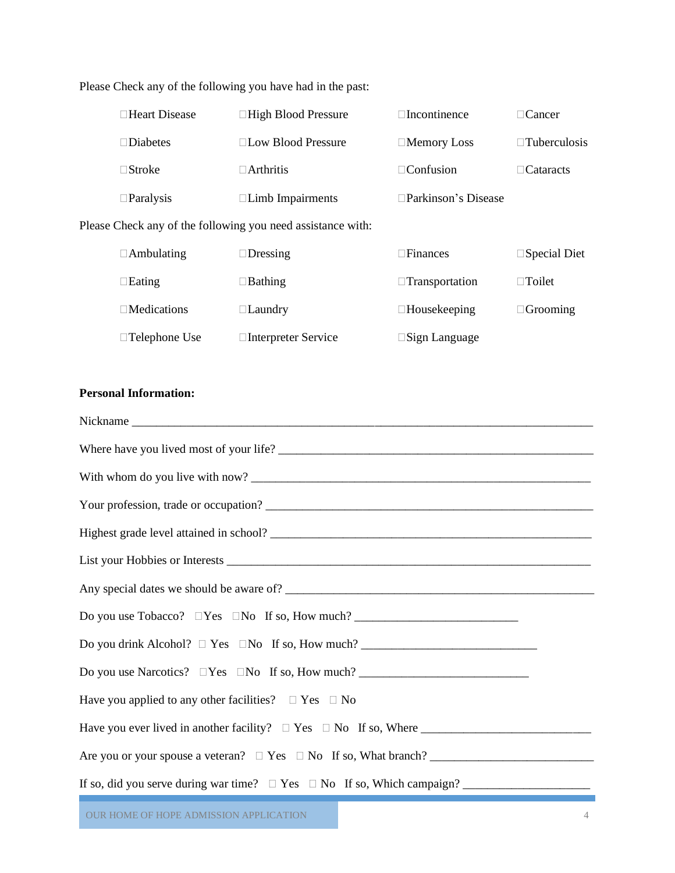| $\Box$ Heart Disease | $\Box$ High Blood Pressure                           | $\Box$ Incontinence        | $\Box$ Cancer       |
|----------------------|------------------------------------------------------|----------------------------|---------------------|
| $\square$ Diabetes   | $\Box$ Low Blood Pressure                            | $\Box$ Memory Loss         | $\Box$ Tuberculosis |
| $\Box$ Stroke        | $\Box$ Arthritis                                     | $\Box$ Confusion           | $\Box$ Cataracts    |
| $\Box$ Paralysis     | $\Box$ Limb Impairments                              | $\Box$ Parkinson's Disease |                     |
|                      | Check any of the following you need assistance with: |                            |                     |

Please Check any of the following you have had in the past:

Please Check any of the following you need assistance with:

| $\Box$ Ambulating    | $\Box$ Dressing      | $\Box$ Finances         | $\square$ Special Diet |
|----------------------|----------------------|-------------------------|------------------------|
| $\Box$ Eating        | $\Box$ Bathing       | $\Box$ Transportation   | $\Box$ Toilet          |
| $\Box$ Medications   | $\Box$ Laundry       | $\Box$ Housekeeping     | $\Box$ Grooming        |
| $\Box$ Telephone Use | □Interpreter Service | $\square$ Sign Language |                        |

#### **Personal Information:**

| Have you applied to any other facilities? $\Box$ Yes $\Box$ No             |
|----------------------------------------------------------------------------|
|                                                                            |
| Are you or your spouse a veterar? $\Box$ Yes $\Box$ No If so, What branch? |
|                                                                            |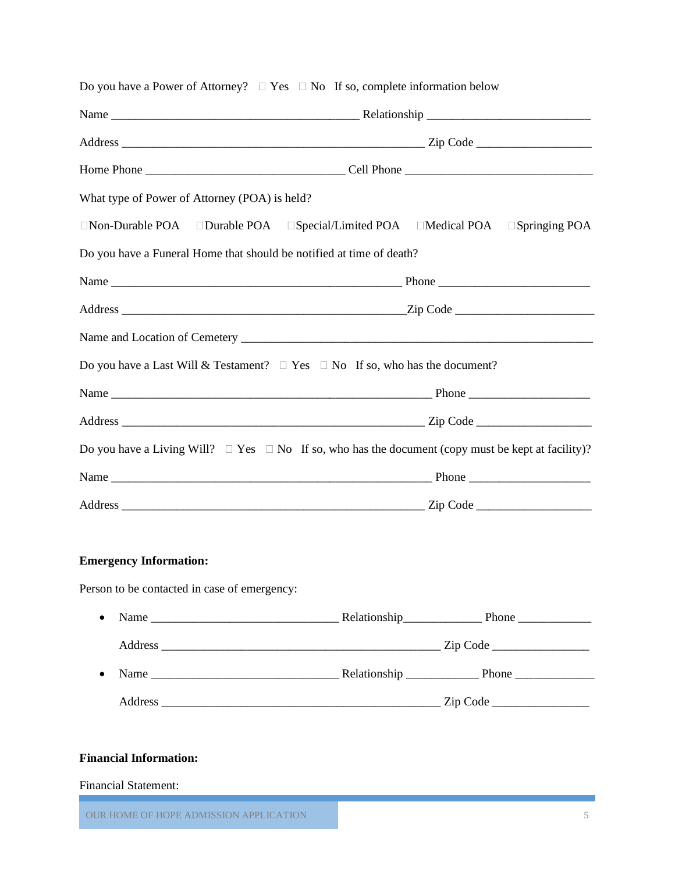| What type of Power of Attorney (POA) is held?                                                                |  |  |  |  |
|--------------------------------------------------------------------------------------------------------------|--|--|--|--|
| $\Box$ Non-Durable POA $\Box$ Durable POA $\Box$ Special/Limited POA $\Box$ Medical POA $\Box$ Springing POA |  |  |  |  |
| Do you have a Funeral Home that should be notified at time of death?                                         |  |  |  |  |
|                                                                                                              |  |  |  |  |
|                                                                                                              |  |  |  |  |
|                                                                                                              |  |  |  |  |
| Do you have a Last Will & Testament? $\Box$ Yes $\Box$ No If so, who has the document?                       |  |  |  |  |
|                                                                                                              |  |  |  |  |
|                                                                                                              |  |  |  |  |
| Do you have a Living Will? $\Box$ Yes $\Box$ No If so, who has the document (copy must be kept at facility)? |  |  |  |  |
|                                                                                                              |  |  |  |  |
|                                                                                                              |  |  |  |  |
|                                                                                                              |  |  |  |  |
| <b>Emergency Information:</b>                                                                                |  |  |  |  |
| Person to be contacted in case of emergency:                                                                 |  |  |  |  |
| • Name Relationship Phone Phone                                                                              |  |  |  |  |

#### Do you have a Power of Attorney?  $\Box$  Yes  $\Box$  No If so, complete information below

# • Name  $\frac{1}{\sqrt{1-\frac{1}{2}}}\$  Relationship  $\frac{1}{\sqrt{1-\frac{1}{2}}}\$  Phone  $\frac{1}{\sqrt{1-\frac{1}{2}}}\$ Address \_\_\_\_\_\_\_\_\_\_\_\_\_\_\_\_\_\_\_\_\_\_\_\_\_\_\_\_\_\_\_\_\_\_\_\_\_\_\_\_\_\_\_\_\_\_ Zip Code \_\_\_\_\_\_\_\_\_\_\_\_\_\_\_\_

Address \_\_\_\_\_\_\_\_\_\_\_\_\_\_\_\_\_\_\_\_\_\_\_\_\_\_\_\_\_\_\_\_\_\_\_\_\_\_\_\_\_\_\_\_\_\_ Zip Code \_\_\_\_\_\_\_\_\_\_\_\_\_\_\_\_

#### **Financial Information:**

#### Financial Statement:

OUR HOME OF HOPE ADMISSION APPLICATION 5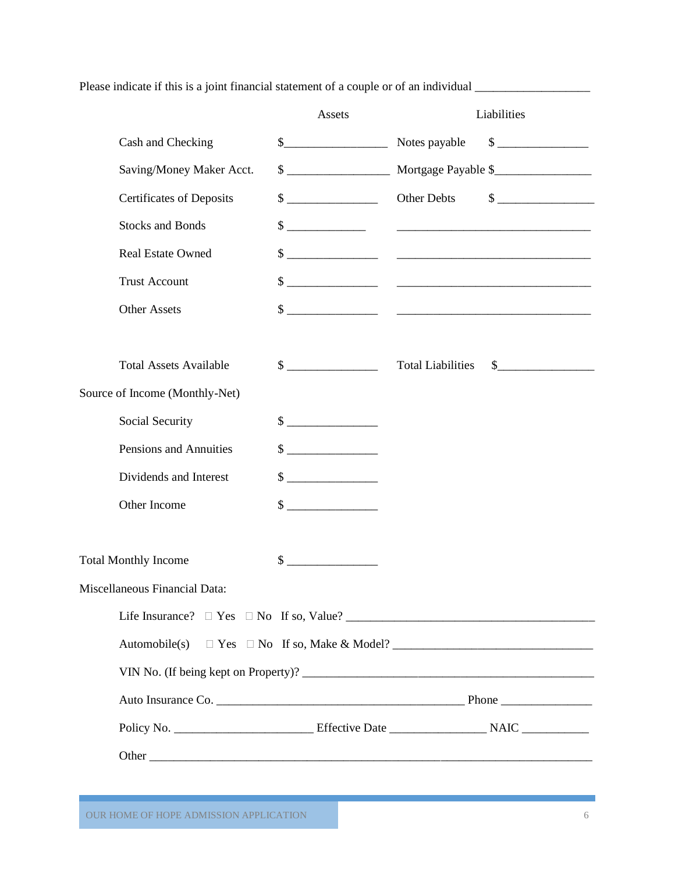Please indicate if this is a joint financial statement of a couple or of an individual \_\_\_\_\_\_\_\_\_\_\_\_\_\_\_\_\_\_\_\_\_\_\_

|                                 | Assets                                                                                                                                                                                                                                                                                                                                                                                                                                                                                                                                        | Liabilities                                                                                                                                                                                                                                                                                                                                                  |
|---------------------------------|-----------------------------------------------------------------------------------------------------------------------------------------------------------------------------------------------------------------------------------------------------------------------------------------------------------------------------------------------------------------------------------------------------------------------------------------------------------------------------------------------------------------------------------------------|--------------------------------------------------------------------------------------------------------------------------------------------------------------------------------------------------------------------------------------------------------------------------------------------------------------------------------------------------------------|
| Cash and Checking               | \$                                                                                                                                                                                                                                                                                                                                                                                                                                                                                                                                            | $\frac{\text{S}}{\text{S}}$<br>Notes payable                                                                                                                                                                                                                                                                                                                 |
| Saving/Money Maker Acct.        |                                                                                                                                                                                                                                                                                                                                                                                                                                                                                                                                               | Mortgage Payable \$                                                                                                                                                                                                                                                                                                                                          |
| <b>Certificates of Deposits</b> | $\frac{1}{2}$                                                                                                                                                                                                                                                                                                                                                                                                                                                                                                                                 | $\begin{picture}(20,20) \put(0,0){\line(1,0){100}} \put(15,0){\line(1,0){100}} \put(15,0){\line(1,0){100}} \put(15,0){\line(1,0){100}} \put(15,0){\line(1,0){100}} \put(15,0){\line(1,0){100}} \put(15,0){\line(1,0){100}} \put(15,0){\line(1,0){100}} \put(15,0){\line(1,0){100}} \put(15,0){\line(1,0){100}} \put(15,0){\line(1,0){100}} \$<br>Other Debts |
| <b>Stocks and Bonds</b>         |                                                                                                                                                                                                                                                                                                                                                                                                                                                                                                                                               |                                                                                                                                                                                                                                                                                                                                                              |
| <b>Real Estate Owned</b>        |                                                                                                                                                                                                                                                                                                                                                                                                                                                                                                                                               |                                                                                                                                                                                                                                                                                                                                                              |
| <b>Trust Account</b>            |                                                                                                                                                                                                                                                                                                                                                                                                                                                                                                                                               |                                                                                                                                                                                                                                                                                                                                                              |
| <b>Other Assets</b>             |                                                                                                                                                                                                                                                                                                                                                                                                                                                                                                                                               |                                                                                                                                                                                                                                                                                                                                                              |
|                                 |                                                                                                                                                                                                                                                                                                                                                                                                                                                                                                                                               |                                                                                                                                                                                                                                                                                                                                                              |
| <b>Total Assets Available</b>   | $\frac{\text{S}}{\text{S}}$                                                                                                                                                                                                                                                                                                                                                                                                                                                                                                                   | <b>Total Liabilities</b>                                                                                                                                                                                                                                                                                                                                     |
| Source of Income (Monthly-Net)  |                                                                                                                                                                                                                                                                                                                                                                                                                                                                                                                                               |                                                                                                                                                                                                                                                                                                                                                              |
| Social Security                 | $\sim$                                                                                                                                                                                                                                                                                                                                                                                                                                                                                                                                        |                                                                                                                                                                                                                                                                                                                                                              |
| Pensions and Annuities          | $\frac{\text{S}}{\text{S}}$                                                                                                                                                                                                                                                                                                                                                                                                                                                                                                                   |                                                                                                                                                                                                                                                                                                                                                              |
| Dividends and Interest          | $\frac{\text{S}}{\text{S}}$                                                                                                                                                                                                                                                                                                                                                                                                                                                                                                                   |                                                                                                                                                                                                                                                                                                                                                              |
| Other Income                    | $\qquad \qquad \text{\normalsize{$\$}}\qquad \qquad \text{\normalsize{$\cdots$}} \qquad \qquad \text{\normalsize{$\cdots$}} \qquad \qquad \text{\normalsize{$\cdots$}} \qquad \qquad \text{\normalsize{$\cdots$}} \qquad \qquad \text{\normalsize{$\cdots$}} \qquad \qquad \text{\normalsize{$\cdots$}} \qquad \qquad \text{\normalsize{$\cdots$}} \qquad \qquad \text{\normalsize{$\cdots$}} \qquad \qquad \text{\normalsize{$\cdots$}} \qquad \qquad \text{\normalsize{$\cdots$}} \qquad \qquad \text{\normalsize{$\cdots$}} \qquad \qquad$ |                                                                                                                                                                                                                                                                                                                                                              |
| <b>Total Monthly Income</b>     | $\sim$                                                                                                                                                                                                                                                                                                                                                                                                                                                                                                                                        |                                                                                                                                                                                                                                                                                                                                                              |
| Miscellaneous Financial Data:   |                                                                                                                                                                                                                                                                                                                                                                                                                                                                                                                                               |                                                                                                                                                                                                                                                                                                                                                              |
|                                 |                                                                                                                                                                                                                                                                                                                                                                                                                                                                                                                                               | Life Insurance? $\Box$ Yes $\Box$ No If so, Value?                                                                                                                                                                                                                                                                                                           |
| Automobile(s)                   |                                                                                                                                                                                                                                                                                                                                                                                                                                                                                                                                               |                                                                                                                                                                                                                                                                                                                                                              |
|                                 |                                                                                                                                                                                                                                                                                                                                                                                                                                                                                                                                               |                                                                                                                                                                                                                                                                                                                                                              |
|                                 |                                                                                                                                                                                                                                                                                                                                                                                                                                                                                                                                               |                                                                                                                                                                                                                                                                                                                                                              |
|                                 |                                                                                                                                                                                                                                                                                                                                                                                                                                                                                                                                               |                                                                                                                                                                                                                                                                                                                                                              |
|                                 |                                                                                                                                                                                                                                                                                                                                                                                                                                                                                                                                               |                                                                                                                                                                                                                                                                                                                                                              |